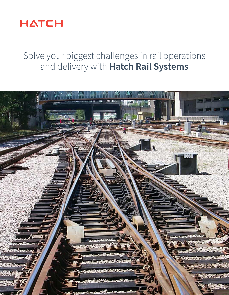

# Solve your biggest challenges in rail operations and delivery with **Hatch Rail Systems**

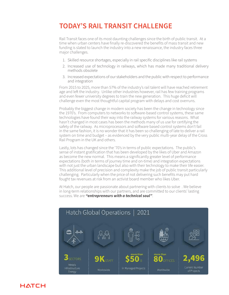## **TODAY'S RAIL TRANSIT CHALLENGE**

Rail Transit faces one of its most daunting challenges since the birth of public transit. At a time when urban centers have finally re-discovered the benefits of mass transit and new funding is slated to launch the industry into a new renaissance, the industry faces three major challenges.

- 1. Skilled resource shortages, especially in rail specific disciplines like rail systems
- 2. Increased use of technology in railways, which has made many traditional delivery methods obsolete
- 3. Increased expectations of our stakeholders and the public with respect to performance and integration

From 2015 to 2025, more than 57% of the industry's rail talent will have reached retirement age and left the industry. Unlike other industries however, rail has few training programs and even fewer university degrees to train the new generation. This huge deficit will challenge even the most thoughtful capital program with delays and cost overruns.

Probably the biggest change in modern society has been the change in technology since the 1970's. From computers to networks to software-based control systems, these same technologies have found their way into the railway systems for various reasons. What hasn't changed in most cases has been the methods many of us use for certifying the safety of the railway. As microprocessors and software based control systems don't fail in the same fashion, it is no wonder that it has been so challenging of late to deliver a rail system on time and budget – as evidenced by the very public multi-year delay of the Cross Rail Program in the UK and others.

Lastly, lots has changed since the '70's in terms of public expectations. The public's sense of instant gratification that has been developed by the likes of Uber and Amazon as become the new normal. This means a significantly greater level of performance expectations (both in terms of journey time and on-time) and integration expectations with not just the urban landscape but also with their technology to make their life easier. This additional level of precision and complexity make the job of public transit particularly challenging. Particularly when the price of not delivering such benefits may put hard fought tax revenues at risk from an activist board member who likes Uber.

At Hatch, our people are passionate about partnering with clients to solve . We believe in long-term relationships with our partners, and are committed to our clients' lasting success. We are *"entrepreneurs with a technical soul"*.



### **HATCH**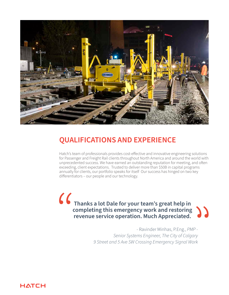

## **QUALIFICATIONS AND EXPERIENCE**

Hatch's team of professionals provides cost-effective and innovative engineering solutions for Passenger and Freight Rail clients throughout North America and around the world with unprecedented success. We have earned an outstanding reputation for meeting, and often exceeding, client expectations. Trusted to deliver more than \$50B in capital programs annually for clients, our portfolio speaks for itself Our success has hinged on two key differentiators – our people and our technology.

**Thanks a lot Dale for your team's great help in completing this emergency work and restoring revenue service operation. Much Appreciated.**  $\frac{1}{2}$ "

 - Ravinder Minhas, P.Eng., *PMP - Senior Systems Engineer, The City of Calgary 9 Street and 5 Ave SW Crossing Emergency Signal Work*

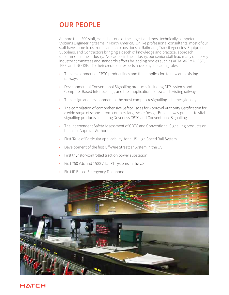## **OUR PEOPLE**

At more than 300 staff, Hatch has one of the largest and most technically competent Systems Engineering teams in North America. Unlike professional consultants, most of our staff have come to us from leadership positions at Railroads, Transit Agencies, Equipment Suppliers, and Contractors bringing a depth of knowledge and practical approach uncommon in the industry. As leaders in the industry, our senior staff lead many of the key industry committees and standards efforts by leading bodies such as APTA, AREMA, IRSE, IEEE, and INCOSE. To their credit, our experts have played leading roles in:

- The development of CBTC product lines and their application to new and existing railways
- Development of Conventional Signalling products, including ATP systems and Computer Based Interlockings, and their application to new and existing railways
- The design and development of the most complex resignalling schemes globally
- The compilation of comprehensive Safety Cases for Approval Authority Certification for a wide range of scope – from complex large scale Design-Build railway projects to vital signalling products, including Driverless CBTC and Conventional Signalling
- The Independent Safety Assessment of CBTC and Conventional Signalling products on behalf of Approval Authorities
- First 'Rule of Particular Applicability' for a US High Speed Rail System
- Development of the first Off-Wire Streetcar System in the US
- First thyristor-controlled traction power substation
- First 750 Vdc and 1500 Vdc LRT systems in the US
- First IP Based Emergency Telephone



### **HATCH**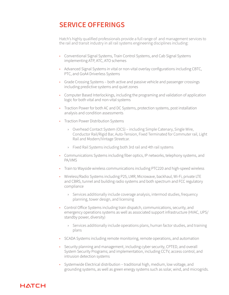## **SERVICE OFFERINGS**

Hatch's highly qualified professionals provide a full range of and management services to the rail and transit industry in all rail systems engineering disciplines including:

- Conventional Signal Systems, Train Control Systems, and Cab Signal Systems implementing ATP, ATC, ATO schemes
- Advanced Signal Systems in vital or non-vital overlay configurations including CBTC, PTC, and GoA4 Driverless Systems
- Grade Crossing Systems both active and passive vehicle and passenger crossings including predictive systems and quiet zones
- Computer Based Interlockings, including the programing and validation of application logic for both vital and non-vital systems
- Traction Power for both AC and DC Systems, protection systems, post installation analysis and condition assessments
- Traction Power Distribution Systems
	- › Overhead Contact System (OCS) including Simple Catenary, Single Wire, Conductor Rail/Rigid Bar, Auto-Tension, Fixed Terminated for Commuter rail, Light Rail and Modern/Vintage Streetcar.
	- › Fixed Rail Systems including both 3rd rail and 4th rail systems
- Communications Systems including fiber optics, IP networks, telephony systems, and PA/VMS
- Train to Wayside wireless communications including PTC220 and high-speed wireless
- Wireless/Radio Systems including P25, LMR, Microwave, backhaul, Wi-Fi, private LTE and CBRS, tunnel and building radio systems and both spectrum and FCC regulatory compliance
	- › Services additionally include coverage analysis, intermod studies, frequency planning, tower design, and licensing
- Control Office Systems including train dispatch, communications, security, and emergency operations systems as well as associated support infrastructure (HVAC, UPS/ standby power, diversity)
	- › Services additionally include operations plans, human factor studies, and training plans
- SCADA Systems including remote monitoring, remote operations, and automation
- Security planning and management, including cyber security, CPTED, and overall System Security Programs; and implementation, including CCTV, access control, and intrusion detection systems
- Systemwide Electrical distribution traditional high, medium, low voltage, and grounding systems, as well as green energy systems such as solar, wind, and microgrids.

### **HATCH**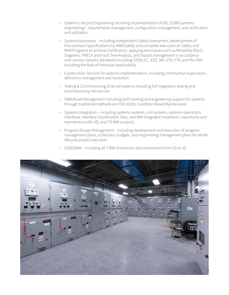- Systems Lifecycle Engineering including implementation of ISO 15288 (systems engineering) - requirements management, configuration management, and verification and validation
- Systems Assurance including Independent Safety Assessment, development of Procurement Specifications for RAM/Safety and complete execution of Safety and RAM Programs to achieve Certification, applying techniques such as Reliability Block Diagrams, FMECA and Fault Tree Analysis, and hazard management in accordance with various industry standards including CENELEC, IEEE, MIL-STD, FTA, and the FRA, including the Rule of Particular Applicability
- Construction Services for systems implementation, including construction supervision, deficiency management and resolution
- Testing & Commissioning of all rail systems including full integration testing and commissioning into service
- O&M/Asset Management including both training and engineering support for systems through traditional methods and ISO-55001 Condition Based Maintenance
- Systems Integration including systems-systems, civil-systems, systems-operations interfaces, Interface Coordination Data, and BIM integrated installation, operations and maintenance (4D, 6D, and 7D BIM analysis).
- Program/Design Management including development and execution of program management plans, schedules, budgets, and engineering management plans for whole lifecycle project execution
- CADD/BIM including all 7 BIM dimensions and conversions from 2D to xD

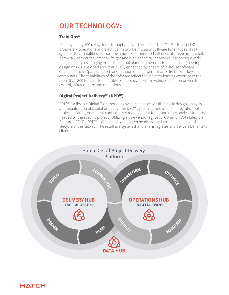## **OUR TECHNOLOGY:**

### **Train Ops®**

**HATCH** 

Used by nearly 100 rail systems throughout North America, TrainOps® is Hatch-LTK's proprietary operations and electrical network simulation software for all types of rail systems. Its capabilities support the unique operational challenges of streetcar, light rail, heavy rail, commuter, intercity, freight and high-speed rail networks. It supports a wide range of analyses, ranging from conceptual planning exercises to detailed engineering design work. Developed and continually enhanced by a team of in-house software engineers, TrainOps is targeted for operation on high-performance 64-bit Windows computers. The capabilities of the software reflect the industry-leading expertise of the more than 300 Hatch LTK rail professionals specializing in vehicles, traction power, train control, infrastructure and operations.

### **Digital Project Delivery™ (DPD™)**

DPD™ is a flexible Digital Twin modeling system capable of full lifecycle design, analysis and visualization of capital projects. The DPD™ system comes with full integration with project controls, document control, asset management tools, and other analysis tools as needed by the specific project. Utilizing a true vendor agnostic, Common Data Lifecycle Platform (CDLP); DPD™ is able to mix and match nearly every data set used across the lifecycle of the railway. The result is a system that plans, integrates and delivers benefits to clients: Properties<br>
and visua<br>
project cc<br>
needed b

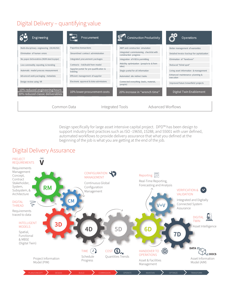# Digital Delivery - quantifying value



Design specifically for large asset intensive capital project. DPD™ has been design to support industry best practices such as ISO -19650, 15288, and 55001 with user defined, automated workflows to provide delivery assurance that what you defined at the beginning of the job is what you are getting at the end of the job.

### Digital Delivery Assurance

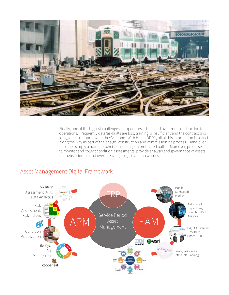

Finally, one of the biggest challenges for operators is the hand over from construction to operations. Frequently data/as-builts are lost, training is insufficient and the contractor is long gone to support what they've done. With Hatch DPD™, all of this information is collect along the way as part of the design, construction and commissioning process. Hand over becomes simply a training exercise – no longer a protracted battle. Moreover, processes to monitor and collect condition assessments, provide analysis and governance of assets happens prior to hand over – leaving no gaps and no worries.

### Asset Management Digital Framework

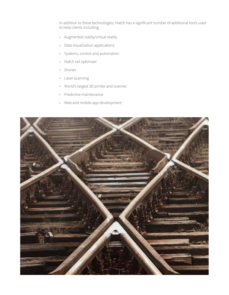In addition to these technologies, Hatch has a significant number of additional tools used to help clients including:

- Augmented reality/virtual reality
- Data visualization applications
- Systems, control and automation
- Hatch rail optimizer
- Drones
- Laser scanning
- World's largest 3D printer and scanner
- Predictive maintenance
- Web and mobile app development

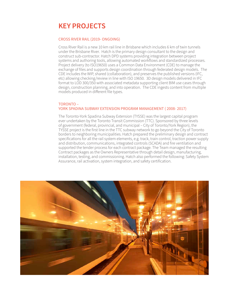## **KEY PROJECTS**

### CROSS RIVER RAIL (2019- ONGOING)

Cross River Rail is a new 10 km rail line in Brisbane which includes 6 km of twin tunnels under the Brisbane River. Hatch is the primary design consultant to the design and construct sub-contractor. Hatch DPD systems providing integration between project systems and authoring tools, allowing automated workflows and standardized processes. Project delivery (to ISO19650) uses a Common Data Environment (CDE) to manage the exchange of files and supports design coordination through federated design models. The CDE includes the WIP, shared (collaboration), and preserves the published versions (IFC, etc) allowing checking/review in line with ISO 19650. 3D design models delivered in IFC format to LOD 300/350 with associated metadata supporting client BIM use cases through design, construction planning, and into operation. The CDE ingests content from multiple models produced in different file types.

### TORONTO – YORK SPADINA SUBWAY EXTENSION PROGRAM MANAGEMENT ( 2008- 2017)

The Toronto-York Spadina Subway Extension (TYSSE) was the largest capital program ever undertaken by the Toronto Transit Commission (TTC). Sponsored by three levels of government (federal, provincial, and municipal – City of Toronto/York Region), the TYSSE project is the first line in the TTC subway network to go beyond the City of Toronto borders to neighboring municipalities. Hatch prepared the preliminary design and contract specifications for all the rail system elements, e.g. track, train control, traction power supply and distribution, communications, integrated controls (SCADA) and fire ventilation and supported the tender process for each contract package. The Team managed the resulting Contract packages as the Owners Representative through detail design, manufacturing, installation, testing, and commissioning. Hatch also performed the following: Safety System Assurance, rail activation, system integration, and safety certification.

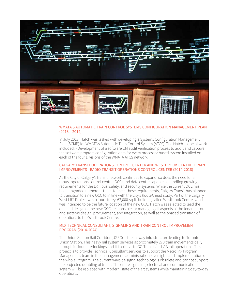

### WMATA'S AUTOMATIC TRAIN CONTROL SYSTEMS CONFIGURATION MANAGEMENT PLAN (2013 – 2014)

In July 2013, Hatch was tasked with developing a Systems Configuration Management Plan (SCMP) for WMATA's Automatic Train Control System (ATCS). The Hatch scope of work included: - Development of a software CM audit verification process to audit and capture the software program configuration data for every processor based system installed on each of the four Divisions of the WMATA ATCS network.

#### CALGARY TRANSIT OPERATIONS CONTROL CENTER AND WESTBROOK CENTRE TENANT IMPROVEMENTS - RADIO TRANSIT OPERATIONS CONTROL CENTER (2014-2018)

As the City of Calgary's transit network continues to expand, so does the need for a robust operations control centre (OCC) and data centre capable of handling growing requirements for the LRT, bus, safety, and security systems. While the current OCC has been upgraded numerous times to meet these requirements, Calgary Transit has planned to transition to a new OCC to in line with the City's RouteAhead study. Part of the Calgary West LRT Project was a four-storey, 63,000-sq.ft. building called Westbrook Centre, which was intended to be the future location of the new OCC. Hatch was selected to lead the detailed design of the new OCC, responsible for managing all aspects of the tenant fit-out and systems design, procurement, and integration, as well as the phased transition of operations to the Westbrook Centre.

### MLX TECHNICAL CONSULTANT, SIGNALING AND TRAIN CONTROL IMPROVEMENT PROGRAM (2014-2024)

The Union Station Rail Corridor (USRC) is the railway infrastructure leading to Toronto Union Station. This heavy rail system services approximately 270 train movements daily through its four interlockings and it is critical to GO Transit and VIA rail operations. This project is to provide Technical Consultant services to support the Metrolinx Program Management team in the management, administration, oversight, and implementation of the whole Program. The current wayside signal technology is obsolete and cannot support the projected doubling of traffic. The entire signaling, electrical and communications system will be replaced with modern, state of the art systems while maintaining day-to-day operations.